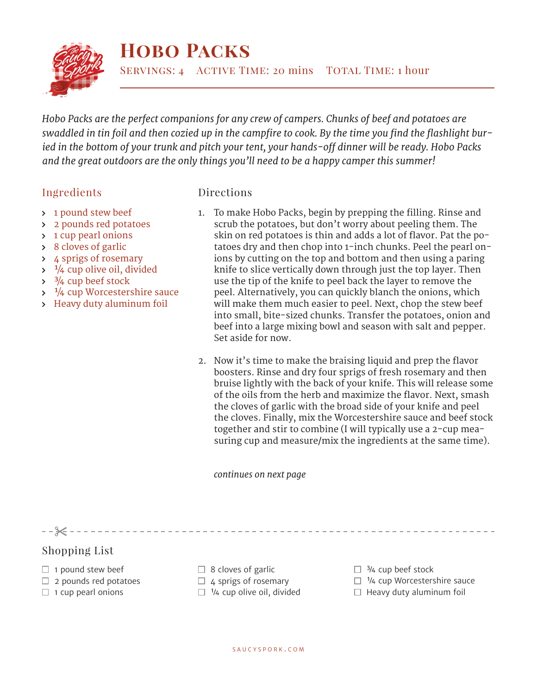

## **Hobo Packs**

SERVINGS: 4 ACTIVE TIME: 20 mins TOTAL TIME: 1 hour

*Hobo Packs are the perfect companions for any crew of campers. Chunks of beef and potatoes are swaddled in tin foil and then cozied up in the campfire to cook. By the time you find the flashlight buried in the bottom of your trunk and pitch your tent, your hands-off dinner will be ready. Hobo Packs and the great outdoors are the only things you'll need to be a happy camper this summer!*

## Ingredients

- Directions
- > 1 pound stew beef
- 2 pounds red potatoes
- 1 cup pearl onions
- 8 cloves of garlic
- 4 sprigs of rosemary
- $\frac{1}{4}$  cup olive oil, divided
- $\frac{3}{4}$  cup beef stock
- $\frac{1}{4}$  cup Worcestershire sauce
- Heavy duty aluminum foil
- 1. To make Hobo Packs, begin by prepping the filling. Rinse and scrub the potatoes, but don't worry about peeling them. The skin on red potatoes is thin and adds a lot of flavor. Pat the potatoes dry and then chop into 1-inch chunks. Peel the pearl onions by cutting on the top and bottom and then using a paring knife to slice vertically down through just the top layer. Then use the tip of the knife to peel back the layer to remove the peel. Alternatively, you can quickly blanch the onions, which will make them much easier to peel. Next, chop the stew beef into small, bite-sized chunks. Transfer the potatoes, onion and beef into a large mixing bowl and season with salt and pepper. Set aside for now.
- 2. Now it's time to make the braising liquid and prep the flavor boosters. Rinse and dry four sprigs of fresh rosemary and then bruise lightly with the back of your knife. This will release some of the oils from the herb and maximize the flavor. Next, smash the cloves of garlic with the broad side of your knife and peel the cloves. Finally, mix the Worcestershire sauce and beef stock together and stir to combine (I will typically use a 2-cup measuring cup and measure/mix the ingredients at the same time).

*continues on next page*

Shopping List

 $- - \times - - - - -$ 

- $\Box$  1 pound stew beef
- $\Box$  2 pounds red potatoes
- $\Box$  1 cup pearl onions
- $\Box$  8 cloves of garlic
- $\Box$  4 sprigs of rosemary
- $\Box$  1/4 cup olive oil, divided
- $\Box$  3/4 cup beef stock
- $\Box$  <sup>1</sup>/4 cup Worcestershire sauce
- $\Box$  Heavy duty aluminum foil